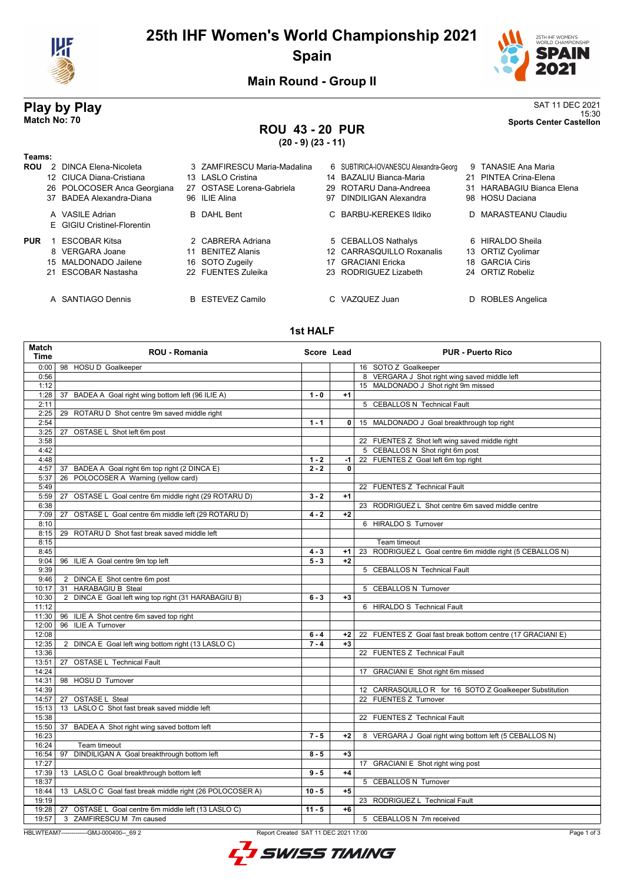

# **25th IHF Women's World Championship 2021 Spain**



15:30 **Match No: 70 Sports Center Castellon**

**Main Round - Group II**

# **Play by Play**<br>Match No: 70<br>Sports Center Castellon

# **ROU 43 - 20 PUR**

**(20 - 9) (23 - 11)**

| Teams:     |                                                |    |                             |    |                                       |                           |
|------------|------------------------------------------------|----|-----------------------------|----|---------------------------------------|---------------------------|
| <b>ROU</b> | 2 DINCA Elena-Nicoleta                         |    | 3 ZAMFIRESCU Maria-Madalina |    | 6 SUBTIRICA-IOVANESCU Alexandra-Georg | 9 TANASIE Ana Maria       |
|            | 12 CIUCA Diana-Cristiana                       |    | 13 LASLO Cristina           |    | 14 BAZALIU Bianca-Maria               | 21 PINTEA Crina-Elena     |
|            | 26 POLOCOSER Anca Georgiana                    |    | 27 OSTASE Lorena-Gabriela   |    | 29 ROTARU Dana-Andreea                | 31 HARABAGIU Bianca Elena |
|            | 37 BADEA Alexandra-Diana                       |    | 96 ILIE Alina               | 97 | DINDILIGAN Alexandra                  | 98 HOSU Daciana           |
|            | A VASILE Adrian<br>E GIGIU Cristinel-Florentin |    | <b>B</b> DAHL Bent          |    | C BARBU-KEREKES Ildiko                | D MARASTEANU Claudiu      |
| <b>PUR</b> | <b>ESCOBAR Kitsa</b>                           |    | 2 CABRERA Adriana           |    | 5 CEBALLOS Nathalys                   | 6 HIRALDO Sheila          |
|            | 8 VERGARA Joane                                | 11 | <b>BENITEZ Alanis</b>       |    | 12 CARRASQUILLO Roxanalis             | 13 ORTIZ Cyolimar         |
|            | 15 MALDONADO Jailene                           |    | 16 SOTO Zugeily             | 17 | GRACIANI Ericka                       | 18 GARCIA Ciris           |
|            | 21 ESCOBAR Nastasha                            |    | 22 FUENTES Zuleika          |    | 23 RODRIGUEZ Lizabeth                 | 24 ORTIZ Robeliz          |
|            | A SANTIAGO Dennis                              |    | <b>B</b> ESTEVEZ Camilo     |    | C VAZQUEZ Juan                        | D ROBLES Angelica         |

#### **1st HALF**

| 0:00   98 HOSU D Goalkeeper<br>16 SOTO Z Goalkeeper<br>8 VERGARA J Shot right wing saved middle left<br>0:56<br>15 MALDONADO J Shot right 9m missed<br>1:12<br>1:28<br>37 BADEA A Goal right wing bottom left (96 ILIE A)<br>$1 - 0$<br>$+1$<br>2:11<br>5 CEBALLOS N Technical Fault<br>2:25<br>29<br>ROTARU D Shot centre 9m saved middle right<br>15 MALDONADO J Goal breakthrough top right<br>2:54<br>$1 - 1$<br>$\mathbf{0}$<br>3:25<br>27 OSTASE L Shot left 6m post<br>3:58<br>22 FUENTES Z Shot left wing saved middle right<br>5 CEBALLOS N Shot right 6m post<br>4:42<br>4:48<br>22 FUENTES Z Goal left 6m top right<br>$1 - 2$<br>-1<br>4:57<br>37 BADEA A Goal right 6m top right (2 DINCA E)<br>$2 - 2$<br>$\mathbf{0}$<br>26 POLOCOSER A Warning (yellow card)<br>5:37<br>5:49<br>22 FUENTES Z Technical Fault<br>OSTASE L Goal centre 6m middle right (29 ROTARU D)<br>$3 - 2$<br>$+1$<br>5:59<br>27<br>6:38<br>23 RODRIGUEZ L Shot centre 6m saved middle centre<br>OSTASE L Goal centre 6m middle left (29 ROTARU D)<br>7:09<br>$4 - 2$<br>$+2$<br>27<br>6 HIRALDO S Turnover<br>8:10<br>8:15<br>29 ROTARU D Shot fast break saved middle left<br>8:15<br>Team timeout<br>8:45<br>$4 - 3$<br>$+1$<br>23 RODRIGUEZ L Goal centre 6m middle right (5 CEBALLOS N)<br>9:04<br>96 ILIE A Goal centre 9m top left<br>$5 - 3$<br>$+2$<br>9:39<br>5 CEBALLOS N Technical Fault<br>9:46<br>2 DINCA E Shot centre 6m post<br>10:17<br>31 HARABAGIU B Steal<br>5 CEBALLOS N Turnover<br>2 DINCA E Goal left wing top right (31 HARABAGIU B)<br>$+3$<br>10:30<br>$6 - 3$<br>11:12<br>6 HIRALDO S Technical Fault<br>11:30<br>96 ILIE A Shot centre 6m saved top right<br>96 ILIE A Turnover<br>12:00<br>12:08<br>$6 - 4$<br>22 FUENTES Z Goal fast break bottom centre (17 GRACIANI E)<br>$+2$<br>12:35<br>2 DINCA E Goal left wing bottom right (13 LASLO C)<br>$7 - 4$<br>$+3$<br>13:36<br>22 FUENTES Z Technical Fault<br>27 OSTASE L Technical Fault<br>13:51<br>14:24<br>17 GRACIANI E Shot right 6m missed<br>14:31<br>98 HOSU D Turnover<br>14:39<br>12 CARRASQUILLO R for 16 SOTO Z Goalkeeper Substitution<br>22 FUENTES Z Turnover<br>14:57<br><b>OSTASE L Steal</b><br>27<br>15:13<br>13 LASLO C Shot fast break saved middle left<br>15:38<br>22 FUENTES Z Technical Fault<br>37 BADEA A Shot right wing saved bottom left<br>15:50<br>8 VERGARA J Goal right wing bottom left (5 CEBALLOS N)<br>16:23<br>$7 - 5$<br>$+2$<br>16:24<br>Team timeout<br>DINDILIGAN A Goal breakthrough bottom left<br>$8 - 5$<br>$+3$<br>16:54<br>97<br>17:27<br>17 GRACIANI E Shot right wing post<br>17:39<br>13 LASLO C Goal breakthrough bottom left<br>$9 - 5$<br>$+4$<br>18:37<br>5 CEBALLOS N Turnover<br>13 LASLO C Goal fast break middle right (26 POLOCOSER A)<br>18:44<br>$10 - 5$<br>$+5$<br>19:19<br>23 RODRIGUEZ L Technical Fault<br>19:28<br>27 OSTASE L Goal centre 6m middle left (13 LASLO C)<br>$+6$<br>$11 - 5$<br>3 ZAMFIRESCU M 7m caused<br>19:57<br>5 CEBALLOS N 7m received<br>HBLWTEAM7-------------GMJ-000400-- 69 2<br>Report Created SAT 11 DEC 2021 17:00 | Match<br><b>Time</b> | <b>ROU - Romania</b> | Score Lead | <b>PUR - Puerto Rico</b> |
|------------------------------------------------------------------------------------------------------------------------------------------------------------------------------------------------------------------------------------------------------------------------------------------------------------------------------------------------------------------------------------------------------------------------------------------------------------------------------------------------------------------------------------------------------------------------------------------------------------------------------------------------------------------------------------------------------------------------------------------------------------------------------------------------------------------------------------------------------------------------------------------------------------------------------------------------------------------------------------------------------------------------------------------------------------------------------------------------------------------------------------------------------------------------------------------------------------------------------------------------------------------------------------------------------------------------------------------------------------------------------------------------------------------------------------------------------------------------------------------------------------------------------------------------------------------------------------------------------------------------------------------------------------------------------------------------------------------------------------------------------------------------------------------------------------------------------------------------------------------------------------------------------------------------------------------------------------------------------------------------------------------------------------------------------------------------------------------------------------------------------------------------------------------------------------------------------------------------------------------------------------------------------------------------------------------------------------------------------------------------------------------------------------------------------------------------------------------------------------------------------------------------------------------------------------------------------------------------------------------------------------------------------------------------------------------------------------------------------------------------------------------------------------------------------------------------------------------------------------------------------------------------------------------------------------------------------------------------------------------------------------------------------------------------------------------------------------------|----------------------|----------------------|------------|--------------------------|
|                                                                                                                                                                                                                                                                                                                                                                                                                                                                                                                                                                                                                                                                                                                                                                                                                                                                                                                                                                                                                                                                                                                                                                                                                                                                                                                                                                                                                                                                                                                                                                                                                                                                                                                                                                                                                                                                                                                                                                                                                                                                                                                                                                                                                                                                                                                                                                                                                                                                                                                                                                                                                                                                                                                                                                                                                                                                                                                                                                                                                                                                                          |                      |                      |            |                          |
|                                                                                                                                                                                                                                                                                                                                                                                                                                                                                                                                                                                                                                                                                                                                                                                                                                                                                                                                                                                                                                                                                                                                                                                                                                                                                                                                                                                                                                                                                                                                                                                                                                                                                                                                                                                                                                                                                                                                                                                                                                                                                                                                                                                                                                                                                                                                                                                                                                                                                                                                                                                                                                                                                                                                                                                                                                                                                                                                                                                                                                                                                          |                      |                      |            |                          |
|                                                                                                                                                                                                                                                                                                                                                                                                                                                                                                                                                                                                                                                                                                                                                                                                                                                                                                                                                                                                                                                                                                                                                                                                                                                                                                                                                                                                                                                                                                                                                                                                                                                                                                                                                                                                                                                                                                                                                                                                                                                                                                                                                                                                                                                                                                                                                                                                                                                                                                                                                                                                                                                                                                                                                                                                                                                                                                                                                                                                                                                                                          |                      |                      |            |                          |
|                                                                                                                                                                                                                                                                                                                                                                                                                                                                                                                                                                                                                                                                                                                                                                                                                                                                                                                                                                                                                                                                                                                                                                                                                                                                                                                                                                                                                                                                                                                                                                                                                                                                                                                                                                                                                                                                                                                                                                                                                                                                                                                                                                                                                                                                                                                                                                                                                                                                                                                                                                                                                                                                                                                                                                                                                                                                                                                                                                                                                                                                                          |                      |                      |            |                          |
|                                                                                                                                                                                                                                                                                                                                                                                                                                                                                                                                                                                                                                                                                                                                                                                                                                                                                                                                                                                                                                                                                                                                                                                                                                                                                                                                                                                                                                                                                                                                                                                                                                                                                                                                                                                                                                                                                                                                                                                                                                                                                                                                                                                                                                                                                                                                                                                                                                                                                                                                                                                                                                                                                                                                                                                                                                                                                                                                                                                                                                                                                          |                      |                      |            |                          |
|                                                                                                                                                                                                                                                                                                                                                                                                                                                                                                                                                                                                                                                                                                                                                                                                                                                                                                                                                                                                                                                                                                                                                                                                                                                                                                                                                                                                                                                                                                                                                                                                                                                                                                                                                                                                                                                                                                                                                                                                                                                                                                                                                                                                                                                                                                                                                                                                                                                                                                                                                                                                                                                                                                                                                                                                                                                                                                                                                                                                                                                                                          |                      |                      |            |                          |
|                                                                                                                                                                                                                                                                                                                                                                                                                                                                                                                                                                                                                                                                                                                                                                                                                                                                                                                                                                                                                                                                                                                                                                                                                                                                                                                                                                                                                                                                                                                                                                                                                                                                                                                                                                                                                                                                                                                                                                                                                                                                                                                                                                                                                                                                                                                                                                                                                                                                                                                                                                                                                                                                                                                                                                                                                                                                                                                                                                                                                                                                                          |                      |                      |            |                          |
|                                                                                                                                                                                                                                                                                                                                                                                                                                                                                                                                                                                                                                                                                                                                                                                                                                                                                                                                                                                                                                                                                                                                                                                                                                                                                                                                                                                                                                                                                                                                                                                                                                                                                                                                                                                                                                                                                                                                                                                                                                                                                                                                                                                                                                                                                                                                                                                                                                                                                                                                                                                                                                                                                                                                                                                                                                                                                                                                                                                                                                                                                          |                      |                      |            |                          |
|                                                                                                                                                                                                                                                                                                                                                                                                                                                                                                                                                                                                                                                                                                                                                                                                                                                                                                                                                                                                                                                                                                                                                                                                                                                                                                                                                                                                                                                                                                                                                                                                                                                                                                                                                                                                                                                                                                                                                                                                                                                                                                                                                                                                                                                                                                                                                                                                                                                                                                                                                                                                                                                                                                                                                                                                                                                                                                                                                                                                                                                                                          |                      |                      |            |                          |
|                                                                                                                                                                                                                                                                                                                                                                                                                                                                                                                                                                                                                                                                                                                                                                                                                                                                                                                                                                                                                                                                                                                                                                                                                                                                                                                                                                                                                                                                                                                                                                                                                                                                                                                                                                                                                                                                                                                                                                                                                                                                                                                                                                                                                                                                                                                                                                                                                                                                                                                                                                                                                                                                                                                                                                                                                                                                                                                                                                                                                                                                                          |                      |                      |            |                          |
|                                                                                                                                                                                                                                                                                                                                                                                                                                                                                                                                                                                                                                                                                                                                                                                                                                                                                                                                                                                                                                                                                                                                                                                                                                                                                                                                                                                                                                                                                                                                                                                                                                                                                                                                                                                                                                                                                                                                                                                                                                                                                                                                                                                                                                                                                                                                                                                                                                                                                                                                                                                                                                                                                                                                                                                                                                                                                                                                                                                                                                                                                          |                      |                      |            |                          |
|                                                                                                                                                                                                                                                                                                                                                                                                                                                                                                                                                                                                                                                                                                                                                                                                                                                                                                                                                                                                                                                                                                                                                                                                                                                                                                                                                                                                                                                                                                                                                                                                                                                                                                                                                                                                                                                                                                                                                                                                                                                                                                                                                                                                                                                                                                                                                                                                                                                                                                                                                                                                                                                                                                                                                                                                                                                                                                                                                                                                                                                                                          |                      |                      |            |                          |
|                                                                                                                                                                                                                                                                                                                                                                                                                                                                                                                                                                                                                                                                                                                                                                                                                                                                                                                                                                                                                                                                                                                                                                                                                                                                                                                                                                                                                                                                                                                                                                                                                                                                                                                                                                                                                                                                                                                                                                                                                                                                                                                                                                                                                                                                                                                                                                                                                                                                                                                                                                                                                                                                                                                                                                                                                                                                                                                                                                                                                                                                                          |                      |                      |            |                          |
|                                                                                                                                                                                                                                                                                                                                                                                                                                                                                                                                                                                                                                                                                                                                                                                                                                                                                                                                                                                                                                                                                                                                                                                                                                                                                                                                                                                                                                                                                                                                                                                                                                                                                                                                                                                                                                                                                                                                                                                                                                                                                                                                                                                                                                                                                                                                                                                                                                                                                                                                                                                                                                                                                                                                                                                                                                                                                                                                                                                                                                                                                          |                      |                      |            |                          |
|                                                                                                                                                                                                                                                                                                                                                                                                                                                                                                                                                                                                                                                                                                                                                                                                                                                                                                                                                                                                                                                                                                                                                                                                                                                                                                                                                                                                                                                                                                                                                                                                                                                                                                                                                                                                                                                                                                                                                                                                                                                                                                                                                                                                                                                                                                                                                                                                                                                                                                                                                                                                                                                                                                                                                                                                                                                                                                                                                                                                                                                                                          |                      |                      |            |                          |
|                                                                                                                                                                                                                                                                                                                                                                                                                                                                                                                                                                                                                                                                                                                                                                                                                                                                                                                                                                                                                                                                                                                                                                                                                                                                                                                                                                                                                                                                                                                                                                                                                                                                                                                                                                                                                                                                                                                                                                                                                                                                                                                                                                                                                                                                                                                                                                                                                                                                                                                                                                                                                                                                                                                                                                                                                                                                                                                                                                                                                                                                                          |                      |                      |            |                          |
|                                                                                                                                                                                                                                                                                                                                                                                                                                                                                                                                                                                                                                                                                                                                                                                                                                                                                                                                                                                                                                                                                                                                                                                                                                                                                                                                                                                                                                                                                                                                                                                                                                                                                                                                                                                                                                                                                                                                                                                                                                                                                                                                                                                                                                                                                                                                                                                                                                                                                                                                                                                                                                                                                                                                                                                                                                                                                                                                                                                                                                                                                          |                      |                      |            |                          |
|                                                                                                                                                                                                                                                                                                                                                                                                                                                                                                                                                                                                                                                                                                                                                                                                                                                                                                                                                                                                                                                                                                                                                                                                                                                                                                                                                                                                                                                                                                                                                                                                                                                                                                                                                                                                                                                                                                                                                                                                                                                                                                                                                                                                                                                                                                                                                                                                                                                                                                                                                                                                                                                                                                                                                                                                                                                                                                                                                                                                                                                                                          |                      |                      |            |                          |
|                                                                                                                                                                                                                                                                                                                                                                                                                                                                                                                                                                                                                                                                                                                                                                                                                                                                                                                                                                                                                                                                                                                                                                                                                                                                                                                                                                                                                                                                                                                                                                                                                                                                                                                                                                                                                                                                                                                                                                                                                                                                                                                                                                                                                                                                                                                                                                                                                                                                                                                                                                                                                                                                                                                                                                                                                                                                                                                                                                                                                                                                                          |                      |                      |            |                          |
|                                                                                                                                                                                                                                                                                                                                                                                                                                                                                                                                                                                                                                                                                                                                                                                                                                                                                                                                                                                                                                                                                                                                                                                                                                                                                                                                                                                                                                                                                                                                                                                                                                                                                                                                                                                                                                                                                                                                                                                                                                                                                                                                                                                                                                                                                                                                                                                                                                                                                                                                                                                                                                                                                                                                                                                                                                                                                                                                                                                                                                                                                          |                      |                      |            |                          |
|                                                                                                                                                                                                                                                                                                                                                                                                                                                                                                                                                                                                                                                                                                                                                                                                                                                                                                                                                                                                                                                                                                                                                                                                                                                                                                                                                                                                                                                                                                                                                                                                                                                                                                                                                                                                                                                                                                                                                                                                                                                                                                                                                                                                                                                                                                                                                                                                                                                                                                                                                                                                                                                                                                                                                                                                                                                                                                                                                                                                                                                                                          |                      |                      |            |                          |
|                                                                                                                                                                                                                                                                                                                                                                                                                                                                                                                                                                                                                                                                                                                                                                                                                                                                                                                                                                                                                                                                                                                                                                                                                                                                                                                                                                                                                                                                                                                                                                                                                                                                                                                                                                                                                                                                                                                                                                                                                                                                                                                                                                                                                                                                                                                                                                                                                                                                                                                                                                                                                                                                                                                                                                                                                                                                                                                                                                                                                                                                                          |                      |                      |            |                          |
|                                                                                                                                                                                                                                                                                                                                                                                                                                                                                                                                                                                                                                                                                                                                                                                                                                                                                                                                                                                                                                                                                                                                                                                                                                                                                                                                                                                                                                                                                                                                                                                                                                                                                                                                                                                                                                                                                                                                                                                                                                                                                                                                                                                                                                                                                                                                                                                                                                                                                                                                                                                                                                                                                                                                                                                                                                                                                                                                                                                                                                                                                          |                      |                      |            |                          |
|                                                                                                                                                                                                                                                                                                                                                                                                                                                                                                                                                                                                                                                                                                                                                                                                                                                                                                                                                                                                                                                                                                                                                                                                                                                                                                                                                                                                                                                                                                                                                                                                                                                                                                                                                                                                                                                                                                                                                                                                                                                                                                                                                                                                                                                                                                                                                                                                                                                                                                                                                                                                                                                                                                                                                                                                                                                                                                                                                                                                                                                                                          |                      |                      |            |                          |
|                                                                                                                                                                                                                                                                                                                                                                                                                                                                                                                                                                                                                                                                                                                                                                                                                                                                                                                                                                                                                                                                                                                                                                                                                                                                                                                                                                                                                                                                                                                                                                                                                                                                                                                                                                                                                                                                                                                                                                                                                                                                                                                                                                                                                                                                                                                                                                                                                                                                                                                                                                                                                                                                                                                                                                                                                                                                                                                                                                                                                                                                                          |                      |                      |            |                          |
|                                                                                                                                                                                                                                                                                                                                                                                                                                                                                                                                                                                                                                                                                                                                                                                                                                                                                                                                                                                                                                                                                                                                                                                                                                                                                                                                                                                                                                                                                                                                                                                                                                                                                                                                                                                                                                                                                                                                                                                                                                                                                                                                                                                                                                                                                                                                                                                                                                                                                                                                                                                                                                                                                                                                                                                                                                                                                                                                                                                                                                                                                          |                      |                      |            |                          |
|                                                                                                                                                                                                                                                                                                                                                                                                                                                                                                                                                                                                                                                                                                                                                                                                                                                                                                                                                                                                                                                                                                                                                                                                                                                                                                                                                                                                                                                                                                                                                                                                                                                                                                                                                                                                                                                                                                                                                                                                                                                                                                                                                                                                                                                                                                                                                                                                                                                                                                                                                                                                                                                                                                                                                                                                                                                                                                                                                                                                                                                                                          |                      |                      |            |                          |
|                                                                                                                                                                                                                                                                                                                                                                                                                                                                                                                                                                                                                                                                                                                                                                                                                                                                                                                                                                                                                                                                                                                                                                                                                                                                                                                                                                                                                                                                                                                                                                                                                                                                                                                                                                                                                                                                                                                                                                                                                                                                                                                                                                                                                                                                                                                                                                                                                                                                                                                                                                                                                                                                                                                                                                                                                                                                                                                                                                                                                                                                                          |                      |                      |            |                          |
|                                                                                                                                                                                                                                                                                                                                                                                                                                                                                                                                                                                                                                                                                                                                                                                                                                                                                                                                                                                                                                                                                                                                                                                                                                                                                                                                                                                                                                                                                                                                                                                                                                                                                                                                                                                                                                                                                                                                                                                                                                                                                                                                                                                                                                                                                                                                                                                                                                                                                                                                                                                                                                                                                                                                                                                                                                                                                                                                                                                                                                                                                          |                      |                      |            |                          |
|                                                                                                                                                                                                                                                                                                                                                                                                                                                                                                                                                                                                                                                                                                                                                                                                                                                                                                                                                                                                                                                                                                                                                                                                                                                                                                                                                                                                                                                                                                                                                                                                                                                                                                                                                                                                                                                                                                                                                                                                                                                                                                                                                                                                                                                                                                                                                                                                                                                                                                                                                                                                                                                                                                                                                                                                                                                                                                                                                                                                                                                                                          |                      |                      |            |                          |
|                                                                                                                                                                                                                                                                                                                                                                                                                                                                                                                                                                                                                                                                                                                                                                                                                                                                                                                                                                                                                                                                                                                                                                                                                                                                                                                                                                                                                                                                                                                                                                                                                                                                                                                                                                                                                                                                                                                                                                                                                                                                                                                                                                                                                                                                                                                                                                                                                                                                                                                                                                                                                                                                                                                                                                                                                                                                                                                                                                                                                                                                                          |                      |                      |            |                          |
|                                                                                                                                                                                                                                                                                                                                                                                                                                                                                                                                                                                                                                                                                                                                                                                                                                                                                                                                                                                                                                                                                                                                                                                                                                                                                                                                                                                                                                                                                                                                                                                                                                                                                                                                                                                                                                                                                                                                                                                                                                                                                                                                                                                                                                                                                                                                                                                                                                                                                                                                                                                                                                                                                                                                                                                                                                                                                                                                                                                                                                                                                          |                      |                      |            |                          |
|                                                                                                                                                                                                                                                                                                                                                                                                                                                                                                                                                                                                                                                                                                                                                                                                                                                                                                                                                                                                                                                                                                                                                                                                                                                                                                                                                                                                                                                                                                                                                                                                                                                                                                                                                                                                                                                                                                                                                                                                                                                                                                                                                                                                                                                                                                                                                                                                                                                                                                                                                                                                                                                                                                                                                                                                                                                                                                                                                                                                                                                                                          |                      |                      |            |                          |
|                                                                                                                                                                                                                                                                                                                                                                                                                                                                                                                                                                                                                                                                                                                                                                                                                                                                                                                                                                                                                                                                                                                                                                                                                                                                                                                                                                                                                                                                                                                                                                                                                                                                                                                                                                                                                                                                                                                                                                                                                                                                                                                                                                                                                                                                                                                                                                                                                                                                                                                                                                                                                                                                                                                                                                                                                                                                                                                                                                                                                                                                                          |                      |                      |            |                          |
|                                                                                                                                                                                                                                                                                                                                                                                                                                                                                                                                                                                                                                                                                                                                                                                                                                                                                                                                                                                                                                                                                                                                                                                                                                                                                                                                                                                                                                                                                                                                                                                                                                                                                                                                                                                                                                                                                                                                                                                                                                                                                                                                                                                                                                                                                                                                                                                                                                                                                                                                                                                                                                                                                                                                                                                                                                                                                                                                                                                                                                                                                          |                      |                      |            |                          |
|                                                                                                                                                                                                                                                                                                                                                                                                                                                                                                                                                                                                                                                                                                                                                                                                                                                                                                                                                                                                                                                                                                                                                                                                                                                                                                                                                                                                                                                                                                                                                                                                                                                                                                                                                                                                                                                                                                                                                                                                                                                                                                                                                                                                                                                                                                                                                                                                                                                                                                                                                                                                                                                                                                                                                                                                                                                                                                                                                                                                                                                                                          |                      |                      |            |                          |
|                                                                                                                                                                                                                                                                                                                                                                                                                                                                                                                                                                                                                                                                                                                                                                                                                                                                                                                                                                                                                                                                                                                                                                                                                                                                                                                                                                                                                                                                                                                                                                                                                                                                                                                                                                                                                                                                                                                                                                                                                                                                                                                                                                                                                                                                                                                                                                                                                                                                                                                                                                                                                                                                                                                                                                                                                                                                                                                                                                                                                                                                                          |                      |                      |            |                          |
|                                                                                                                                                                                                                                                                                                                                                                                                                                                                                                                                                                                                                                                                                                                                                                                                                                                                                                                                                                                                                                                                                                                                                                                                                                                                                                                                                                                                                                                                                                                                                                                                                                                                                                                                                                                                                                                                                                                                                                                                                                                                                                                                                                                                                                                                                                                                                                                                                                                                                                                                                                                                                                                                                                                                                                                                                                                                                                                                                                                                                                                                                          |                      |                      |            |                          |
|                                                                                                                                                                                                                                                                                                                                                                                                                                                                                                                                                                                                                                                                                                                                                                                                                                                                                                                                                                                                                                                                                                                                                                                                                                                                                                                                                                                                                                                                                                                                                                                                                                                                                                                                                                                                                                                                                                                                                                                                                                                                                                                                                                                                                                                                                                                                                                                                                                                                                                                                                                                                                                                                                                                                                                                                                                                                                                                                                                                                                                                                                          |                      |                      |            |                          |
|                                                                                                                                                                                                                                                                                                                                                                                                                                                                                                                                                                                                                                                                                                                                                                                                                                                                                                                                                                                                                                                                                                                                                                                                                                                                                                                                                                                                                                                                                                                                                                                                                                                                                                                                                                                                                                                                                                                                                                                                                                                                                                                                                                                                                                                                                                                                                                                                                                                                                                                                                                                                                                                                                                                                                                                                                                                                                                                                                                                                                                                                                          |                      |                      |            |                          |
|                                                                                                                                                                                                                                                                                                                                                                                                                                                                                                                                                                                                                                                                                                                                                                                                                                                                                                                                                                                                                                                                                                                                                                                                                                                                                                                                                                                                                                                                                                                                                                                                                                                                                                                                                                                                                                                                                                                                                                                                                                                                                                                                                                                                                                                                                                                                                                                                                                                                                                                                                                                                                                                                                                                                                                                                                                                                                                                                                                                                                                                                                          |                      |                      |            |                          |
|                                                                                                                                                                                                                                                                                                                                                                                                                                                                                                                                                                                                                                                                                                                                                                                                                                                                                                                                                                                                                                                                                                                                                                                                                                                                                                                                                                                                                                                                                                                                                                                                                                                                                                                                                                                                                                                                                                                                                                                                                                                                                                                                                                                                                                                                                                                                                                                                                                                                                                                                                                                                                                                                                                                                                                                                                                                                                                                                                                                                                                                                                          |                      |                      |            |                          |
|                                                                                                                                                                                                                                                                                                                                                                                                                                                                                                                                                                                                                                                                                                                                                                                                                                                                                                                                                                                                                                                                                                                                                                                                                                                                                                                                                                                                                                                                                                                                                                                                                                                                                                                                                                                                                                                                                                                                                                                                                                                                                                                                                                                                                                                                                                                                                                                                                                                                                                                                                                                                                                                                                                                                                                                                                                                                                                                                                                                                                                                                                          |                      |                      |            |                          |
|                                                                                                                                                                                                                                                                                                                                                                                                                                                                                                                                                                                                                                                                                                                                                                                                                                                                                                                                                                                                                                                                                                                                                                                                                                                                                                                                                                                                                                                                                                                                                                                                                                                                                                                                                                                                                                                                                                                                                                                                                                                                                                                                                                                                                                                                                                                                                                                                                                                                                                                                                                                                                                                                                                                                                                                                                                                                                                                                                                                                                                                                                          |                      |                      |            |                          |
|                                                                                                                                                                                                                                                                                                                                                                                                                                                                                                                                                                                                                                                                                                                                                                                                                                                                                                                                                                                                                                                                                                                                                                                                                                                                                                                                                                                                                                                                                                                                                                                                                                                                                                                                                                                                                                                                                                                                                                                                                                                                                                                                                                                                                                                                                                                                                                                                                                                                                                                                                                                                                                                                                                                                                                                                                                                                                                                                                                                                                                                                                          |                      |                      |            |                          |
|                                                                                                                                                                                                                                                                                                                                                                                                                                                                                                                                                                                                                                                                                                                                                                                                                                                                                                                                                                                                                                                                                                                                                                                                                                                                                                                                                                                                                                                                                                                                                                                                                                                                                                                                                                                                                                                                                                                                                                                                                                                                                                                                                                                                                                                                                                                                                                                                                                                                                                                                                                                                                                                                                                                                                                                                                                                                                                                                                                                                                                                                                          |                      |                      |            |                          |
|                                                                                                                                                                                                                                                                                                                                                                                                                                                                                                                                                                                                                                                                                                                                                                                                                                                                                                                                                                                                                                                                                                                                                                                                                                                                                                                                                                                                                                                                                                                                                                                                                                                                                                                                                                                                                                                                                                                                                                                                                                                                                                                                                                                                                                                                                                                                                                                                                                                                                                                                                                                                                                                                                                                                                                                                                                                                                                                                                                                                                                                                                          |                      |                      |            |                          |
|                                                                                                                                                                                                                                                                                                                                                                                                                                                                                                                                                                                                                                                                                                                                                                                                                                                                                                                                                                                                                                                                                                                                                                                                                                                                                                                                                                                                                                                                                                                                                                                                                                                                                                                                                                                                                                                                                                                                                                                                                                                                                                                                                                                                                                                                                                                                                                                                                                                                                                                                                                                                                                                                                                                                                                                                                                                                                                                                                                                                                                                                                          |                      |                      |            |                          |
|                                                                                                                                                                                                                                                                                                                                                                                                                                                                                                                                                                                                                                                                                                                                                                                                                                                                                                                                                                                                                                                                                                                                                                                                                                                                                                                                                                                                                                                                                                                                                                                                                                                                                                                                                                                                                                                                                                                                                                                                                                                                                                                                                                                                                                                                                                                                                                                                                                                                                                                                                                                                                                                                                                                                                                                                                                                                                                                                                                                                                                                                                          |                      |                      |            |                          |
|                                                                                                                                                                                                                                                                                                                                                                                                                                                                                                                                                                                                                                                                                                                                                                                                                                                                                                                                                                                                                                                                                                                                                                                                                                                                                                                                                                                                                                                                                                                                                                                                                                                                                                                                                                                                                                                                                                                                                                                                                                                                                                                                                                                                                                                                                                                                                                                                                                                                                                                                                                                                                                                                                                                                                                                                                                                                                                                                                                                                                                                                                          |                      |                      |            |                          |
|                                                                                                                                                                                                                                                                                                                                                                                                                                                                                                                                                                                                                                                                                                                                                                                                                                                                                                                                                                                                                                                                                                                                                                                                                                                                                                                                                                                                                                                                                                                                                                                                                                                                                                                                                                                                                                                                                                                                                                                                                                                                                                                                                                                                                                                                                                                                                                                                                                                                                                                                                                                                                                                                                                                                                                                                                                                                                                                                                                                                                                                                                          |                      |                      |            |                          |
|                                                                                                                                                                                                                                                                                                                                                                                                                                                                                                                                                                                                                                                                                                                                                                                                                                                                                                                                                                                                                                                                                                                                                                                                                                                                                                                                                                                                                                                                                                                                                                                                                                                                                                                                                                                                                                                                                                                                                                                                                                                                                                                                                                                                                                                                                                                                                                                                                                                                                                                                                                                                                                                                                                                                                                                                                                                                                                                                                                                                                                                                                          |                      |                      |            | Page 1 of 3              |

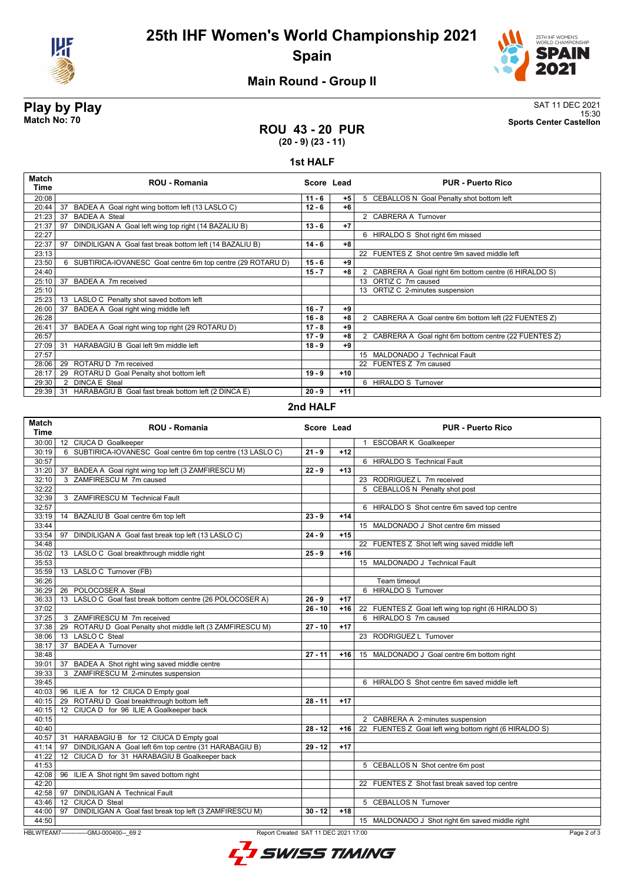

# **25th IHF Women's World Championship 2021 Spain**



## **Main Round - Group II**

**Play by Play**<br>Match No: 70<br>Sports Center Castellon 15:30 **Match No: 70 Sports Center Castellon**

### **ROU 43 - 20 PUR (20 - 9) (23 - 11)**

#### **1st HALF**

| <b>Match</b><br>Time | ROU - Romania                                                 | Score Lead |       | <b>PUR - Puerto Rico</b>                               |
|----------------------|---------------------------------------------------------------|------------|-------|--------------------------------------------------------|
| 20:08                |                                                               | $11 - 6$   | $+5$  | 5 CEBALLOS N Goal Penalty shot bottom left             |
| 20:44                | BADEA A Goal right wing bottom left (13 LASLO C)<br>37        | $12 - 6$   | $+6$  |                                                        |
| 21:23                | <b>BADEA A Steal</b><br>37                                    |            |       | 2 CABRERA A Turnover                                   |
| 21:37                | DINDILIGAN A Goal left wing top right (14 BAZALIU B)<br>97    | $13 - 6$   | $+7$  |                                                        |
| 22:27                |                                                               |            |       | 6 HIRALDO S Shot right 6m missed                       |
| 22:37                | 97<br>DINDILIGAN A Goal fast break bottom left (14 BAZALIU B) | $14 - 6$   | $+8$  |                                                        |
| 23:13                |                                                               |            |       | 22 FUENTES Z Shot centre 9m saved middle left          |
| 23:50                | 6 SUBTIRICA-IOVANESC Goal centre 6m top centre (29 ROTARU D)  | $15 - 6$   | +9    |                                                        |
| 24:40                |                                                               | $15 - 7$   | $+8$  | 2 CABRERA A Goal right 6m bottom centre (6 HIRALDO S)  |
| 25:10                | 37<br>BADEA A 7m received                                     |            |       | 13 ORTIZ C 7m caused                                   |
| 25:10                |                                                               |            |       | 13 ORTIZ C 2-minutes suspension                        |
| 25:23                | 13 LASLO C Penalty shot saved bottom left                     |            |       |                                                        |
| 26:00                | BADEA A Goal right wing middle left<br>37                     | $16 - 7$   | +9    |                                                        |
| 26:28                |                                                               | $16 - 8$   | $+8$  | 2 CABRERA A Goal centre 6m bottom left (22 FUENTES Z)  |
| 26:41                | BADEA A Goal right wing top right (29 ROTARU D)<br>37         | $17 - 8$   | +9    |                                                        |
| 26:57                |                                                               | $17 - 9$   | $+8$  | 2 CABRERA A Goal right 6m bottom centre (22 FUENTES Z) |
| 27:09                | HARABAGIU B Goal left 9m middle left<br>31                    | $18 - 9$   | +9    |                                                        |
| 27:57                |                                                               |            |       | 15 MALDONADO J Technical Fault                         |
| 28:06                | ROTARU D 7m received<br>29                                    |            |       | 22 FUENTES Z 7m caused                                 |
| 28:17                | ROTARU D Goal Penalty shot bottom left<br>29                  | $19 - 9$   | $+10$ |                                                        |
| 29:30                | <b>DINCA E Steal</b><br>2                                     |            |       | 6 HIRALDO S Turnover                                   |
| 29:39                | 31 HARABAGIU B Goal fast break bottom left (2 DINCA E)        | $20 - 9$   | $+11$ |                                                        |
|                      |                                                               | 0.11111    |       |                                                        |

#### **2nd HALF**

| <b>Match</b><br><b>Time</b> | <b>ROU - Romania</b>                                                             |           | Score Lead | <b>PUR - Puerto Rico</b>                               |
|-----------------------------|----------------------------------------------------------------------------------|-----------|------------|--------------------------------------------------------|
| 30:00                       | 12 CIUCA D Goalkeeper                                                            |           |            | <b>ESCOBAR K Goalkeeper</b><br>$\mathbf{1}$            |
| 30:19                       | 6 SUBTIRICA-IOVANESC Goal centre 6m top centre (13 LASLO C)                      | $21 - 9$  | $+12$      |                                                        |
| 30:57                       |                                                                                  |           |            | 6 HIRALDO S Technical Fault                            |
| 31:20                       | 37 BADEA A Goal right wing top left (3 ZAMFIRESCU M)                             | $22 - 9$  | $+13$      |                                                        |
| 32:10                       | 3 ZAMFIRESCU M 7m caused                                                         |           |            | 23 RODRIGUEZ L 7m received                             |
| 32:22                       |                                                                                  |           |            | 5 CEBALLOS N Penalty shot post                         |
| 32:39                       | 3 ZAMFIRESCU M Technical Fault                                                   |           |            |                                                        |
| 32:57                       |                                                                                  |           |            | 6 HIRALDO S Shot centre 6m saved top centre            |
| 33:19                       | 14 BAZALIU B Goal centre 6m top left                                             | $23 - 9$  | $+14$      |                                                        |
| 33:44                       |                                                                                  |           |            | 15 MALDONADO J Shot centre 6m missed                   |
| 33:54                       | 97 DINDILIGAN A Goal fast break top left (13 LASLO C)                            | $24 - 9$  | $+15$      |                                                        |
| 34:48                       |                                                                                  |           |            | 22 FUENTES Z Shot left wing saved middle left          |
| 35:02                       | 13 LASLO C Goal breakthrough middle right                                        | $25 - 9$  | $+16$      |                                                        |
| 35:53                       |                                                                                  |           |            | 15 MALDONADO J Technical Fault                         |
| 35:59                       | 13 LASLO C Turnover (FB)                                                         |           |            |                                                        |
| 36:26                       |                                                                                  |           |            | Team timeout                                           |
| 36:29                       | 26 POLOCOSER A Steal                                                             |           |            | 6 HIRALDO S Turnover                                   |
| 36:33                       | 13 LASLO C Goal fast break bottom centre (26 POLOCOSER A)                        | $26 - 9$  | $+17$      |                                                        |
| 37:02                       |                                                                                  | $26 - 10$ | $+16$      | 22 FUENTES Z Goal left wing top right (6 HIRALDO S)    |
| 37:25                       | 3 ZAMFIRESCU M 7m received                                                       |           |            | 6 HIRALDO S 7m caused                                  |
| 37:38                       | 29 ROTARU D Goal Penalty shot middle left (3 ZAMFIRESCU M)                       | $27 - 10$ | $+17$      |                                                        |
| 38:06                       | 13 LASLO C Steal                                                                 |           |            | 23 RODRIGUEZ L Turnover                                |
| 38:17                       | 37 BADEA A Turnover                                                              |           |            |                                                        |
| 38:48                       |                                                                                  | $27 - 11$ | $+16$      | 15 MALDONADO J Goal centre 6m bottom right             |
| 39:01                       | 37 BADEA A Shot right wing saved middle centre                                   |           |            |                                                        |
| 39:33                       | 3 ZAMFIRESCU M 2-minutes suspension                                              |           |            |                                                        |
| 39:45                       |                                                                                  |           |            | 6 HIRALDO S Shot centre 6m saved middle left           |
|                             | 40:03   96 ILIE A for 12 CIUCA D Empty goal                                      |           |            |                                                        |
| 40:15                       | 29 ROTARU D Goal breakthrough bottom left                                        | $28 - 11$ | $+17$      |                                                        |
| 40:15                       | 12 CIUCA D for 96 ILIE A Goalkeeper back                                         |           |            |                                                        |
| 40:15                       |                                                                                  |           |            | 2 CABRERA A 2-minutes suspension                       |
| 40:40                       |                                                                                  | $28 - 12$ | $+16$      | 22 FUENTES Z Goal left wing bottom right (6 HIRALDO S) |
|                             | 40:57 31 HARABAGIU B for 12 CIUCA D Empty goal                                   |           |            |                                                        |
| 41:14                       | 97 DINDILIGAN A Goal left 6m top centre (31 HARABAGIU B)                         | $29 - 12$ | $+17$      |                                                        |
| 41:22                       | 12 CIUCA D for 31 HARABAGIU B Goalkeeper back                                    |           |            |                                                        |
| 41:53                       |                                                                                  |           |            | 5 CEBALLOS N Shot centre 6m post                       |
|                             | 42:08   96 ILIE A Shot right 9m saved bottom right                               |           |            |                                                        |
| 42:20                       |                                                                                  |           |            | 22 FUENTES Z Shot fast break saved top centre          |
|                             | 42:58   97 DINDILIGAN A Technical Fault                                          |           |            |                                                        |
| 43:46                       | 12 CIUCA D Steal                                                                 |           |            | 5 CEBALLOS N Turnover                                  |
| 44:00                       | DINDILIGAN A Goal fast break top left (3 ZAMFIRESCU M)<br>97                     | $30 - 12$ | $+18$      |                                                        |
| 44:50                       |                                                                                  |           |            | 15 MALDONADO J Shot right 6m saved middle right        |
|                             | HBLWTEAM7--------------GMJ-000400-- 69 2<br>Report Created SAT 11 DEC 2021 17:00 |           |            | Page 2 of                                              |